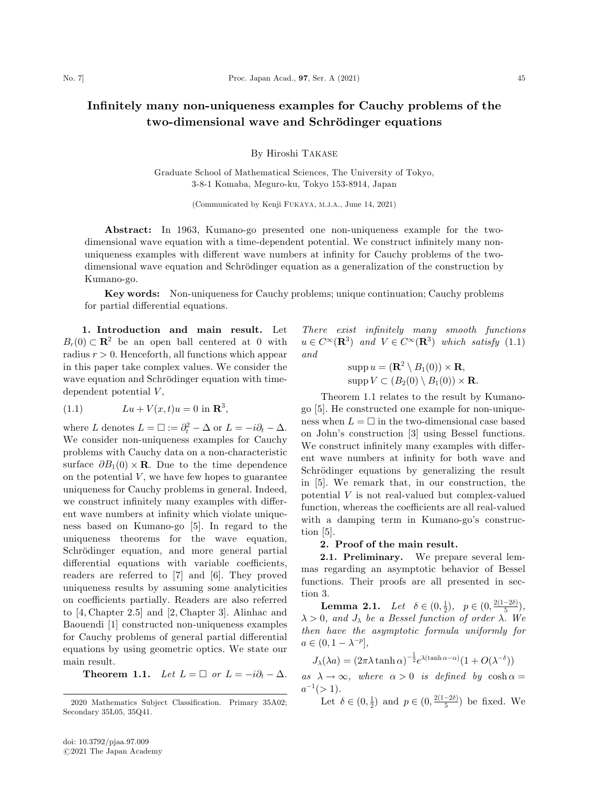## Infinitely many non-uniqueness examples for Cauchy problems of the two-dimensional wave and Schrödinger equations

By Hiroshi TAKASE

Graduate School of Mathematical Sciences, The University of Tokyo, 3-8-1 Komaba, Meguro-ku, Tokyo 153-8914, Japan

(Communicated by Kenji FUKAYA, M.J.A., June 14, 2021)

Abstract: In 1963, Kumano-go presented one non-uniqueness example for the twodimensional wave equation with a time-dependent potential. We construct infinitely many nonuniqueness examples with different wave numbers at infinity for Cauchy problems of the twodimensional wave equation and Schrödinger equation as a generalization of the construction by Kumano-go.

Key words: Non-uniqueness for Cauchy problems; unique continuation; Cauchy problems for partial differential equations.

1. Introduction and main result. Let  $B_r(0) \subset \mathbf{R}^2$  be an open ball centered at 0 with radius  $r > 0$ . Henceforth, all functions which appear in this paper take complex values. We consider the wave equation and Schrödinger equation with timedependent potential  $V$ ,

(1.1) 
$$
Lu + V(x, t)u = 0 \text{ in } \mathbb{R}^3,
$$

where L denotes  $L = \Box := \partial_t^2 - \Delta$  or  $L = -i\partial_t - \Delta$ . We consider non-uniqueness examples for Cauchy problems with Cauchy data on a non-characteristic surface  $\partial B_1(0) \times \mathbf{R}$ . Due to the time dependence on the potential  $V$ , we have few hopes to guarantee uniqueness for Cauchy problems in general. Indeed, we construct infinitely many examples with different wave numbers at infinity which violate uniqueness based on Kumano-go [5]. In regard to the uniqueness theorems for the wave equation, Schrödinger equation, and more general partial differential equations with variable coefficients, readers are referred to [7] and [6]. They proved uniqueness results by assuming some analyticities on coefficients partially. Readers are also referred to [4, Chapter 2.5] and [2, Chapter 3]. Alinhac and Baouendi [1] constructed non-uniqueness examples for Cauchy problems of general partial differential equations by using geometric optics. We state our main result.

**Theorem 1.1.** Let  $L = \Box$  or  $L = -i\partial_t - \Delta$ .

There exist infinitely many smooth functions  $u \in C^{\infty}(\mathbf{R}^3)$  and  $V \in C^{\infty}(\mathbf{R}^3)$  which satisfy  $(1.1)$ and

> $\text{supp } u = (\mathbf{R}^2 \setminus B_1(0)) \times \mathbf{R},$  $\mathrm{supp} V \subset (B_2(0) \setminus B_1(0)) \times \mathbf{R}.$

Theorem 1.1 relates to the result by Kumanogo [5]. He constructed one example for non-uniqueness when  $L = \Box$  in the two-dimensional case based on John's construction [3] using Bessel functions. We construct infinitely many examples with different wave numbers at infinity for both wave and Schrödinger equations by generalizing the result in [5]. We remark that, in our construction, the potential V is not real-valued but complex-valued function, whereas the coefficients are all real-valued with a damping term in Kumano-go's construction [5].

## 2. Proof of the main result.

2.1. Preliminary. We prepare several lemmas regarding an asymptotic behavior of Bessel functions. Their proofs are all presented in section 3.

**Lemma 2.1.** Let  $\delta \in (0, \frac{1}{2}), \quad p \in (0, \frac{2(1-2\delta)}{5}),$  $\lambda > 0$ , and  $J_{\lambda}$  be a Bessel function of order  $\lambda$ . We then have the asymptotic formula uniformly for  $a \in (0, 1 - \lambda^{-p}],$ 

$$
J_{\lambda}(\lambda a) = (2\pi\lambda\tanh\alpha)^{-\frac{1}{2}}e^{\lambda(\tanh\alpha - \alpha)}(1 + O(\lambda^{-\delta}))
$$

as  $\lambda \to \infty$ , where  $\alpha > 0$  is defined by  $\cosh \alpha =$  $a^{-1} (> 1)$ .

Let  $\delta \in (0, \frac{1}{2})$  and  $p \in (0, \frac{2(1-2\delta)}{5})$  be fixed. We

<sup>2020</sup> Mathematics Subject Classification. Primary 35A02; Secondary 35L05, 35Q41.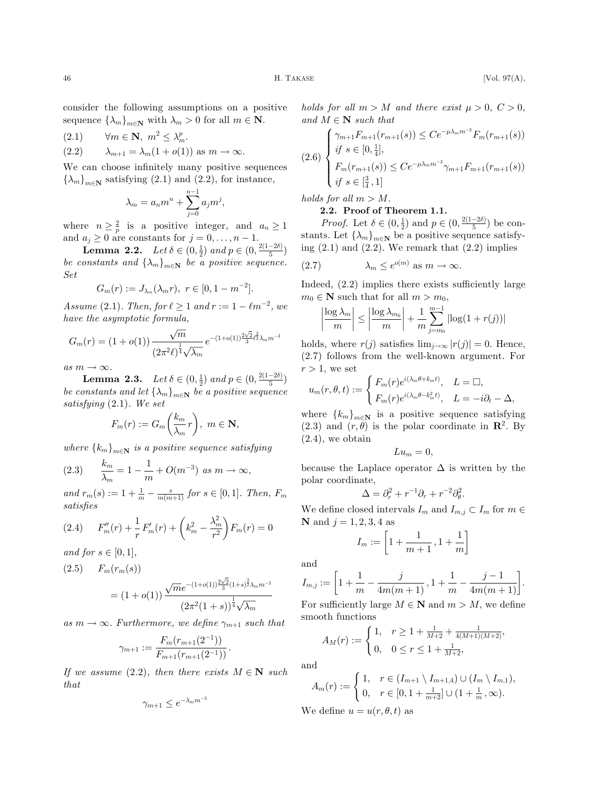consider the following assumptions on a positive sequence  $\{\lambda_m\}_{m\in\mathbf{N}}$  with  $\lambda_m > 0$  for all  $m \in \mathbf{N}$ .

$$
(2.1) \qquad \forall m \in \mathbf{N}, \ m^2 \le \lambda_m^p.
$$

(2.2) 
$$
\lambda_{m+1} = \lambda_m (1 + o(1)) \text{ as } m \to \infty.
$$

We can choose infinitely many positive sequences  $\{\lambda_m\}_{m\in\mathbb{N}}$  satisfying (2.1) and (2.2), for instance,

$$
\lambda_m = a_n m^n + \sum_{j=0}^{n-1} a_j m^j,
$$

where  $n \geq \frac{2}{p}$  is a positive integer, and  $a_n \geq 1$ and  $a_j \geq 0$  are constants for  $j = 0, \ldots, n - 1$ .

**Lemma 2.2.** Let  $\delta \in (0, \frac{1}{2})$  and  $p \in (0, \frac{2(1-2\delta)}{5})$ be constants and  $\{\lambda_m\}_{m\in\mathbb{N}}$  be a positive sequence. Set

$$
G_m(r) := J_{\lambda_m}(\lambda_m r), \ r \in [0, 1 - m^{-2}].
$$

Assume (2.1). Then, for  $\ell \geq 1$  and  $r := 1 - \ell m^{-2}$ , we have the asymptotic formula,

$$
G_m(r) = (1 + o(1)) \frac{\sqrt{m}}{(2\pi^2 \ell)^{\frac{1}{4}} \sqrt{\lambda_m}} e^{-(1 + o(1))\frac{2\sqrt{2}}{3} \ell^{\frac{3}{2}} \lambda_m m^{-3}}
$$

as  $m \to \infty$ .

**Lemma 2.3.** Let  $\delta \in (0, \frac{1}{2})$  and  $p \in (0, \frac{2(1-2\delta)}{5})$ be constants and let  $\{\lambda_m\}_{m\in\mathbb{N}}$  be a positive sequence satisfying (2.1). We set

$$
F_m(r) := G_m\left(\frac{k_m}{\lambda_m}r\right), \ m \in \mathbf{N},
$$

where  ${k_m}_{m\in\mathbf{N}}$  is a positive sequence satisfying

(2.3) 
$$
\frac{k_m}{\lambda_m} = 1 - \frac{1}{m} + O(m^{-3}) \text{ as } m \to \infty,
$$

and  $r_m(s) := 1 + \frac{1}{m} - \frac{s}{m(m+1)}$  for  $s \in [0,1]$ . Then,  $F_m$ satisfies

(2.4) 
$$
F''_m(r) + \frac{1}{r} F'_m(r) + \left(k_m^2 - \frac{\lambda_m^2}{r^2}\right) F_m(r) = 0
$$

and for  $s \in [0, 1]$ ,

(2.5) 
$$
F_m(r_m(s)) = (1+o(1)) \frac{\sqrt{m}e^{-(1+o(1))\frac{2\sqrt{2}}{3}(1+s)^{\frac{3}{2}}\lambda_m m^{-3}}}{(2\pi^2(1+s))^{\frac{1}{4}}\sqrt{\lambda_m}}
$$

as  $m \to \infty$ . Furthermore, we define  $\gamma_{m+1}$  such that

$$
\gamma_{m+1} := \frac{F_m(r_{m+1}(2^{-1}))}{F_{m+1}(r_{m+1}(2^{-1}))}.
$$

If we assume (2.2), then there exists  $M \in \mathbb{N}$  such that

$$
\gamma_{m+1} \le e^{-\lambda_m m^{-3}}
$$

holds for all  $m > M$  and there exist  $\mu > 0$ ,  $C > 0$ , and  $M \in \mathbb{N}$  such that

$$
(2.6) \begin{cases} \gamma_{m+1} F_{m+1}(r_{m+1}(s)) \leq C e^{-\mu \lambda_m m^{-3}} F_m(r_{m+1}(s)) \\ \text{if } s \in [0, \frac{1}{4}], \\ F_m(r_{m+1}(s)) \leq C e^{-\mu \lambda_m m^{-3}} \gamma_{m+1} F_{m+1}(r_{m+1}(s)) \\ \text{if } s \in [\frac{3}{4}, 1] \end{cases}
$$

holds for all  $m > M$ .

2.2. Proof of Theorem 1.1.

*Proof.* Let  $\delta \in (0, \frac{1}{2})$  and  $p \in (0, \frac{2(1-2\delta)}{5})$  be constants. Let  $\{\lambda_m\}_{m\in\mathbb{N}}$  be a positive sequence satisfying  $(2.1)$  and  $(2.2)$ . We remark that  $(2.2)$  implies

m eoðm<sup>Þ</sup> ð2:7Þ as m ! 1:

Indeed, (2.2) implies there exists sufficiently large  $m_0 \in \mathbb{N}$  such that for all  $m > m_0$ ,

$$
\left|\frac{\log\lambda_m}{m}\right|\leq\left|\frac{\log\lambda_{m_0}}{m}\right|+\frac{1}{m}\sum_{j=m_0}^{m-1}\left|\log(1+r(j))\right|
$$

holds, where  $r(j)$  satisfies  $\lim_{j\to\infty} |r(j)| = 0$ . Hence, (2.7) follows from the well-known argument. For  $r > 1$ , we set

$$
u_m(r, \theta, t) := \begin{cases} F_m(r)e^{i(\lambda_m \theta + k_m t)}, & L = \square, \\ F_m(r)e^{i(\lambda_m \theta - k_m^2 t)}, & L = -i\partial_t - \Delta, \end{cases}
$$

where  ${k_m}_{m\in\mathbf{N}}$  is a positive sequence satisfying (2.3) and  $(r, \theta)$  is the polar coordinate in  $\mathbb{R}^2$ . By  $(2.4)$ , we obtain

$$
Lu_m=0,
$$

because the Laplace operator  $\Delta$  is written by the polar coordinate,

$$
\Delta = \partial_r^2 + r^{-1}\partial_r + r^{-2}\partial_\theta^2.
$$

We define closed intervals  $I_m$  and  $I_{m,j} \subset I_m$  for  $m \in$ **N** and  $j = 1, 2, 3, 4$  as

$$
I_m := \left[1 + \frac{1}{m+1}, 1 + \frac{1}{m}\right]
$$

and

$$
I_{m,j} := \left[1 + \frac{1}{m} - \frac{j}{4m(m+1)}, 1 + \frac{1}{m} - \frac{j-1}{4m(m+1)}\right].
$$

For sufficiently large  $M \in \mathbb{N}$  and  $m > M$ , we define smooth functions

$$
A_M(r) := \begin{cases} 1, & r \ge 1 + \frac{1}{M+2} + \frac{1}{4(M+1)(M+2)}, \\ 0, & 0 \le r \le 1 + \frac{1}{M+2}, \end{cases}
$$

and

$$
A_m(r) := \begin{cases} 1, & r \in (I_{m+1} \setminus I_{m+1,4}) \cup (I_m \setminus I_{m,1}), \\ 0, & r \in [0, 1 + \frac{1}{m+2}] \cup (1 + \frac{1}{m}, \infty). \end{cases}
$$

We define  $u = u(r, \theta, t)$  as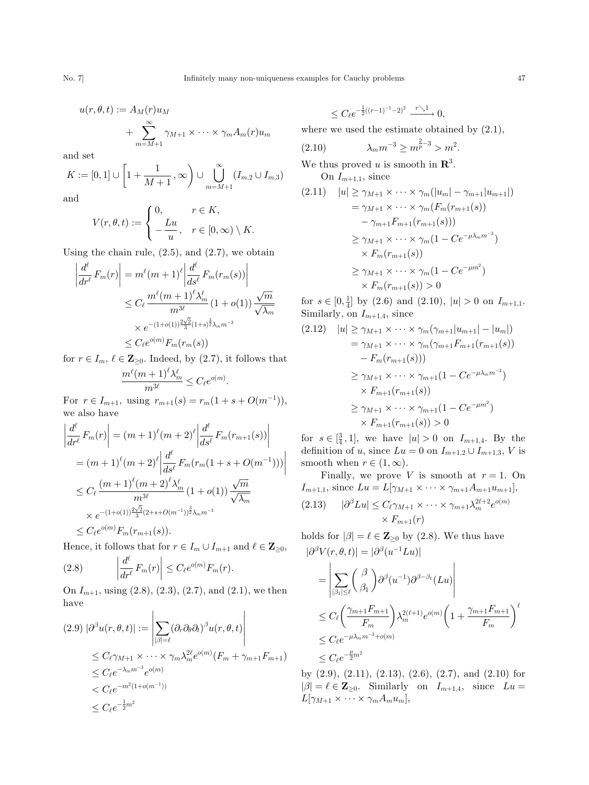$$
u(r, \theta, t) := A_M(r)u_M
$$
  
+ 
$$
\sum_{m=M+1}^{\infty} \gamma_{M+1} \times \cdots \times \gamma_m A_m(r)u_m
$$

and set

$$
K := [0, 1] \cup \left[1 + \frac{1}{M+1}, \infty\right) \cup \bigcup_{m=M+1}^{\infty} (I_{m,2} \cup I_{m,3})
$$

and

$$
V(r, \theta, t) := \begin{cases} 0, & r \in K, \\ -\frac{Lu}{u}, & r \in [0, \infty) \setminus K. \end{cases}
$$

Using the chain rule,  $(2.5)$ , and  $(2.7)$ , we obtain

$$
\left| \frac{d^{\ell}}{dr^{\ell}} F_m(r) \right| = m^{\ell}(m+1)^{\ell} \left| \frac{d^{\ell}}{ds^{\ell}} F_m(r_m(s)) \right|
$$
  
\n
$$
\leq C_{\ell} \frac{m^{\ell}(m+1)^{\ell} \lambda_m^{\ell}}{m^{3\ell}} (1+o(1)) \frac{\sqrt{m}}{\sqrt{\lambda_m}}
$$
  
\n
$$
\times e^{-(1+o(1))\frac{2\sqrt{2}}{3}(1+s)^{\frac{3}{2}} \lambda_m m^{-3}}
$$
  
\n
$$
\leq C_{\ell} e^{o(m)} F_m(r_m(s))
$$

for  $r \in I_m$ ,  $\ell \in \mathbb{Z}_{\geq 0}$ . Indeed, by (2.7), it follows that  $\frac{m^{\ell}(m+1)^{\ell}\lambda_m^{\ell}}{m^{3\ell}} \leq C_{\ell}e^{o(m)}.$ 

For  $r \in I_{m+1}$ , using  $r_{m+1}(s) = r_m(1+s+O(m^{-1}))$ , we also have

$$
\left| \frac{d^{\ell}}{dr^{\ell}} F_m(r) \right| = (m+1)^{\ell} (m+2)^{\ell} \left| \frac{d^{\ell}}{ds^{\ell}} F_m(r_{m+1}(s)) \right|
$$
  
\n
$$
= (m+1)^{\ell} (m+2)^{\ell} \left| \frac{d^{\ell}}{ds^{\ell}} F_m(r_m(1+s+O(m^{-1}))) \right|
$$
  
\n
$$
\leq C_{\ell} \frac{(m+1)^{\ell} (m+2)^{\ell} \lambda_m^{\ell}}{m^{3\ell}} (1+o(1)) \frac{\sqrt{m}}{\sqrt{\lambda_m}}
$$
  
\n
$$
\times e^{-(1+o(1))\frac{2\sqrt{2}}{3}(2+s+O(m^{-1}))^{\frac{3}{2}} \lambda_m m^{-3}}
$$
  
\n
$$
\leq C_{\ell} e^{o(m)} F_m(r_{m+1}(s)).
$$

Hence, it follows that for  $r \in I_m \cup I_{m+1}$  and  $\ell \in \mathbb{Z}_{\geq 0}$ ,

(2.8) 
$$
\left| \frac{d^{\ell}}{dr^{\ell}} F_m(r) \right| \leq C_{\ell} e^{o(m)} F_m(r).
$$

On  $I_{m+1}$ , using  $(2.8)$ ,  $(2.3)$ ,  $(2.7)$ , and  $(2.1)$ , we then have  $\overline{1}$  $\overline{1}$ 

$$
(2.9) \left| \partial^{\beta} u(r, \theta, t) \right| := \left| \sum_{|\beta| = \ell} (\partial_r \partial_{\theta} \partial_t)^{\beta} u(r, \theta, t) \right|
$$
  
\n
$$
\leq C_{\ell} \gamma_{M+1} \times \cdots \times \gamma_m \lambda_m^{2\ell} e^{o(m)} (F_m + \gamma_{m+1} F_{m+1})
$$
  
\n
$$
\leq C_{\ell} e^{-\lambda_m m^{-3}} e^{o(m)}
$$
  
\n
$$
< C_{\ell} e^{-m^2 (1 + o(m^{-1}))}
$$
  
\n
$$
\leq C_{\ell} e^{-\frac{1}{2} m^2}
$$

$$
\leq C_\ell e^{-\frac{1}{2}((r-1)^{-1}-2)^2} \xrightarrow{r \searrow 1} 0,
$$

where we used the estimate obtained by (2.1),

(2.10) 
$$
\lambda_m m^{-3} \ge m^{\frac{2}{p}-3} > m^2.
$$

We thus proved u is smooth in  $\mathbb{R}^3$ .

On  $I_{m+1,1}$ , since

$$
(2.11) \quad |u| \geq \gamma_{M+1} \times \cdots \times \gamma_m(|u_m| - \gamma_{m+1}|u_{m+1}|)
$$
  
=  $\gamma_{M+1} \times \cdots \times \gamma_m(F_m(r_{m+1}(s))$   
 $- \gamma_{m+1} F_{m+1}(r_{m+1}(s)))$   
 $\geq \gamma_{M+1} \times \cdots \times \gamma_m (1 - Ce^{-\mu \lambda_m m^{-3}})$   
 $\times F_m(r_{m+1}(s))$   
 $\geq \gamma_{M+1} \times \cdots \times \gamma_m (1 - Ce^{-\mu m^2})$   
 $\times F_m(r_{m+1}(s)) > 0$ 

for  $s \in [0, \frac{1}{4}]$  by (2.6) and (2.10),  $|u| > 0$  on  $I_{m+1,1}$ . Similarly, on  $I_{m+1,4}$ , since

$$
(2.12) \quad |u| \geq \gamma_{M+1} \times \cdots \times \gamma_m(\gamma_{m+1}|u_{m+1}| - |u_m|)
$$
  
=  $\gamma_{M+1} \times \cdots \times \gamma_m(\gamma_{m+1} F_{m+1}(r_{m+1}(s)))$   
-  $F_m(r_{m+1}(s)))$   
 $\geq \gamma_{M+1} \times \cdots \times \gamma_{m+1}(1 - Ce^{-\mu\lambda_m m^{-3}})$   
 $\times F_{m+1}(r_{m+1}(s))$   
 $\geq \gamma_{M+1} \times \cdots \times \gamma_{m+1}(1 - Ce^{-\mu m^2})$   
 $\times F_{m+1}(r_{m+1}(s)) > 0$ 

for  $s \in [\frac{3}{4}, 1]$ , we have  $|u| > 0$  on  $I_{m+1,4}$ . By the definition of u, since  $Lu = 0$  on  $I_{m+1,2} \cup I_{m+1,3}$ , V is smooth when  $r \in (1,\infty)$ .

Finally, we prove V is smooth at  $r = 1$ . On  $I_{m+1,1}$ , since  $Lu = L[\gamma_{M+1} \times \cdots \times \gamma_{m+1} A_{m+1} u_{m+1}],$ (2.13)  $|\partial^{\beta}Lu| \leq C_{\ell}\gamma_{M+1} \times \cdots \times \gamma_{m+1}\lambda_m^{2\ell+2}e^{o(m)}$  $\times F_{m+1}(r)$ 

holds for  $|\beta| = \ell \in \mathbb{Z}_{\geq 0}$  by (2.8). We thus have  $|\partial^{\beta}V(r, \theta, t)| = |\partial^{\beta}(u^{-1}Lu)|$ 

$$
= \left| \sum_{|\beta_1| \leq \ell} {\beta \choose \beta_1} \partial^{\beta} (u^{-1}) \partial^{\beta-\beta_1} (Lu) \right|
$$
  
\n
$$
\leq C_{\ell} \left( \frac{\gamma_{m+1} F_{m+1}}{F_m} \right) \lambda_m^{2(\ell+1)} e^{o(m)} \left( 1 + \frac{\gamma_{m+1} F_{m+1}}{F_m} \right)^{\ell}
$$
  
\n
$$
\leq C_{\ell} e^{-\mu \lambda_m m^{-3} + o(m)}
$$
  
\n
$$
\leq C_{\ell} e^{-\frac{\mu}{2} m^2}
$$

by  $(2.9)$ ,  $(2.11)$ ,  $(2.13)$ ,  $(2.6)$ ,  $(2.7)$ , and  $(2.10)$  for  $|\beta| = \ell \in \mathbb{Z}_{\geq 0}$ . Similarly on  $I_{m+1,4}$ , since  $Lu =$  $L[\gamma_{M+1} \times \cdots \times \gamma_m A_m u_m],$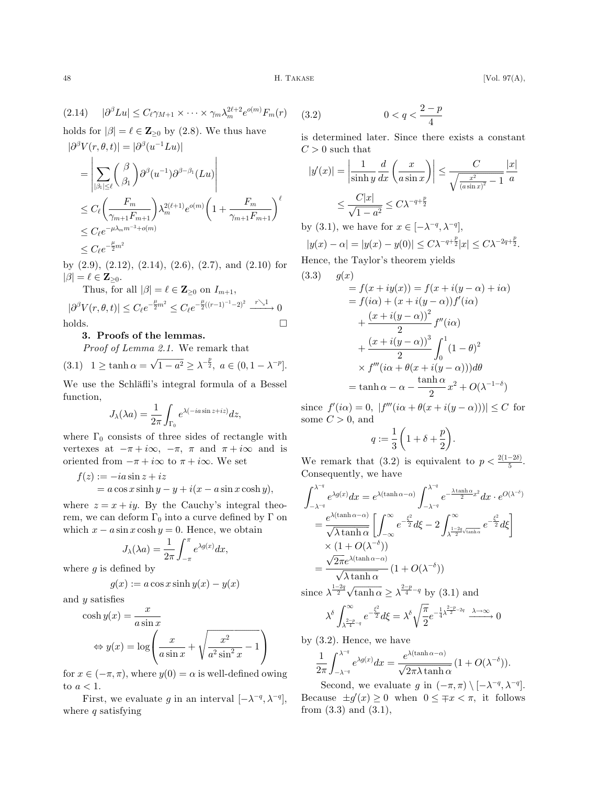$$
(2.14) \quad |\partial^{\beta}Lu| \leq C_{\ell}\gamma_{M+1} \times \cdots \times \gamma_m\lambda_m^{2\ell+2}e^{o(m)}F_m(r)
$$

holds for  $|\beta| = \ell \in \mathbb{Z}_{\geq 0}$  by (2.8). We thus have  $|\partial^{\beta}V(r, \theta, t)| = |\partial^{\beta}(u^{-1}Lu)|$ 

$$
\begin{aligned}\n&= \left| \sum_{|\beta_1| \leq \ell} {\beta \choose \beta_1} \partial^{\beta} (u^{-1}) \partial^{\beta-\beta_1} (Lu) \right| \\
&\leq C_{\ell} \left( \frac{F_m}{\gamma_{m+1} F_{m+1}} \right) \lambda_m^{2(\ell+1)} e^{o(m)} \left( 1 + \frac{F_m}{\gamma_{m+1} F_{m+1}} \right)^{\ell} \\
&\leq C_{\ell} e^{-\mu \lambda_m m^{-3} + o(m)} \\
&\leq C_{\ell} e^{-\frac{\mu}{2} m^2}\n\end{aligned}
$$

by  $(2.9)$ ,  $(2.12)$ ,  $(2.14)$ ,  $(2.6)$ ,  $(2.7)$ , and  $(2.10)$  for  $|\beta| = \ell \in \mathbf{Z}_{\geq 0}.$ 

Thus, for all 
$$
|\beta| = \ell \in \mathbf{Z}_{\geq 0}
$$
 on  $I_{m+1}$ ,  
\n $|\partial^{\beta}V(r, \theta, t)| \leq C_{\ell}e^{-\frac{\mu}{2}m^2} \leq C_{\ell}e^{-\frac{\mu}{2}((r-1)^{-1}-2)^2} \xrightarrow{r \searrow 1} 0$   
\nholds.

## 3. Proofs of the lemmas.

Proof of Lemma 2.1. We remark that

(3.1) 
$$
1 \ge \tanh \alpha = \sqrt{1 - a^2} \ge \lambda^{-\frac{p}{2}}, \ a \in (0, 1 - \lambda^{-p}).
$$

We use the Schläfli's integral formula of a Bessel function,

$$
J_{\lambda}(\lambda a) = \frac{1}{2\pi} \int_{\Gamma_0} e^{\lambda(-ia\sin z + iz)} dz,
$$

where  $\Gamma_0$  consists of three sides of rectangle with vertexes at  $-\pi + i\infty$ ,  $-\pi$ ,  $\pi$  and  $\pi + i\infty$  and is oriented from  $-\pi + i\infty$  to  $\pi + i\infty$ . We set

$$
f(z) := -ia \sin z + iz
$$
  
=  $a \cos x \sinh y - y + i(x - a \sin x \cosh y),$ 

where  $z = x + iy$ . By the Cauchy's integral theorem, we can deform  $\Gamma_0$  into a curve defined by  $\Gamma$  on which  $x - a \sin x \cosh y = 0$ . Hence, we obtain

$$
J_{\lambda}(\lambda a) = \frac{1}{2\pi} \int_{-\pi}^{\pi} e^{\lambda g(x)} dx,
$$

where  $g$  is defined by

$$
g(x) := a \cos x \sinh y(x) - y(x)
$$

and y satisfies

$$
\cosh y(x) = \frac{x}{a \sin x}
$$

$$
\Leftrightarrow y(x) = \log \left( \frac{x}{a \sin x} + \sqrt{\frac{x^2}{a^2 \sin^2 x}} - 1 \right)
$$

for  $x \in (-\pi, \pi)$ , where  $y(0) = \alpha$  is well-defined owing to  $a < 1$ .

First, we evaluate g in an interval  $[-\lambda^{-q}, \lambda^{-q}],$ where  $q$  satisfying

$$
(3.2) \t\t 0 < q < \frac{2-p}{4}
$$

is determined later. Since there exists a constant  $C > 0$  such that

$$
|y'(x)| = \left|\frac{1}{\sinh y} \frac{d}{dx} \left(\frac{x}{a \sin x}\right)\right| \le \frac{C}{\sqrt{\frac{x^2}{(a \sin x)^2} - 1}} \frac{|x|}{a}
$$

$$
\le \frac{C|x|}{\sqrt{1 - a^2}} \le C\lambda^{-q + \frac{p}{2}}
$$

by (3.1), we have for  $x \in [-\lambda^{-q}, \lambda^{-q}],$ 

$$
|y(x) - \alpha| = |y(x) - y(0)| \le C\lambda^{-q + \frac{p}{2}}|x| \le C\lambda^{-2q + \frac{p}{2}}.
$$
  
Hence the Taylor's theorem yields

Hence, the Taylor's theorem yields

(3.3) 
$$
g(x) = f(x + iy(x)) = f(x + i(y - \alpha) + i\alpha)
$$

$$
= f(i\alpha) + (x + i(y - \alpha))f'(i\alpha)
$$

$$
+ \frac{(x + i(y - \alpha))^{2}}{2} f''(i\alpha)
$$

$$
+ \frac{(x + i(y - \alpha))^{3}}{2} \int_{0}^{1} (1 - \theta)^{2}
$$

$$
\times f'''(i\alpha + \theta(x + i(y - \alpha))) d\theta
$$

$$
= \tanh \alpha - \alpha - \frac{\tanh \alpha}{2} x^{2} + O(\lambda^{-1-\delta})
$$

since  $f'(i\alpha) = 0$ ,  $|f'''(i\alpha + \theta(x + i(y - \alpha)))| \leq C$  for some  $C > 0$ , and

$$
q:=\frac{1}{3}\left(1+\delta+\frac{p}{2}\right).
$$

We remark that (3.2) is equivalent to  $p < \frac{2(1-2\delta)}{5}$ . Consequently, we have

$$
\int_{-\lambda^{-q}}^{\lambda^{-q}} e^{\lambda g(x)} dx = e^{\lambda(\tanh \alpha - \alpha)} \int_{-\lambda^{-q}}^{\lambda^{-q}} e^{-\frac{\lambda \tanh \alpha}{2}x^2} dx \cdot e^{O(\lambda^{-\delta})}
$$
  
\n
$$
= \frac{e^{\lambda(\tanh \alpha - \alpha)}}{\sqrt{\lambda \tanh \alpha}} \left[ \int_{-\infty}^{\infty} e^{-\frac{\xi^2}{2}} d\xi - 2 \int_{\lambda^{\frac{1-2q}{2}} \sqrt{\tanh \alpha}} e^{-\frac{\xi^2}{2}} d\xi \right]
$$
  
\n
$$
\times (1 + O(\lambda^{-\delta}))
$$
  
\n
$$
= \frac{\sqrt{2\pi} e^{\lambda(\tanh \alpha - \alpha)}}{\sqrt{\lambda \tanh \alpha}} (1 + O(\lambda^{-\delta}))
$$
  
\nsince  $\lambda^{\frac{1-2q}{2}} \sqrt{\tanh \alpha} \ge \lambda^{\frac{2-p}{4}-q}$  by (3.1) and

since 
$$
\lambda^{\frac{1-2q}{2}} \sqrt{\tanh \alpha} \ge \lambda^{\frac{2-p}{4}-q}
$$
 by (3.1) and

$$
\lambda^{\delta}\int_{\lambda^{\frac{2-p}{4}-q}}^{\infty}e^{-\frac{\xi^2}{2}}d\xi=\lambda^{\delta}\sqrt{\frac{\pi}{2}}e^{-\frac{1}{4}\lambda^{\frac{2-p}{2}-2q}}\xrightarrow{\lambda\to\infty}0
$$

by (3.2). Hence, we have

$$
\frac{1}{2\pi} \int_{-\lambda^{-q}}^{\lambda^{-q}} e^{\lambda g(x)} dx = \frac{e^{\lambda(\tanh \alpha - \alpha)}}{\sqrt{2\pi \lambda \tanh \alpha}} (1 + O(\lambda^{-\delta})).
$$

Second, we evaluate g in  $(-\pi, \pi) \setminus [-\lambda^{-q}, \lambda^{-q}]$ . Because  $\pm g'(x) \geq 0$  when  $0 \leq \mp x < \pi$ , it follows from  $(3.3)$  and  $(3.1)$ ,

 $\text{H. TAKASE}$  [Vol. 97(A),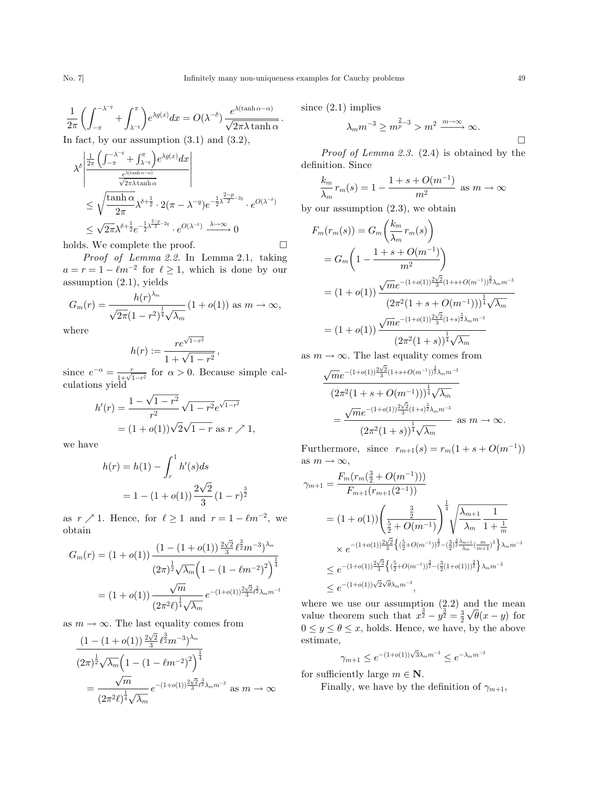$\Box$ 

$$
\frac{1}{2\pi} \left( \int_{-\pi}^{-\lambda^{-q}} + \int_{\lambda^{-q}}^{\pi} \right) e^{\lambda g(x)} dx = O(\lambda^{-\delta}) \frac{e^{\lambda(\tanh \alpha - \alpha)}}{\sqrt{2\pi \lambda \tanh \alpha}}.
$$

In fact, by our assumption  $(3.1)$  and  $(3.2)$ ,

$$
\lambda^{\delta} \left| \frac{\frac{1}{2\pi} \left( \int_{-\pi}^{-\lambda^{-q}} + \int_{\lambda^{-q}}^{\pi} \right) e^{\lambda g(x)} dx}{\frac{e^{\lambda (\tanh \alpha - \alpha)}}{\sqrt{2\pi \lambda \tanh \alpha}}} \right|
$$
\n
$$
\leq \sqrt{\frac{\tanh \alpha}{2\pi}} \lambda^{\delta + \frac{1}{2}} \cdot 2(\pi - \lambda^{-q}) e^{-\frac{1}{2} \lambda^{\frac{2-p}{2} - 2q}} \cdot e^{O(\lambda^{-\delta})}
$$
\n
$$
\leq \sqrt{2\pi} \lambda^{\delta + \frac{1}{2}} e^{-\frac{1}{2} \lambda^{\frac{2-p}{2} - 2q}} \cdot e^{O(\lambda^{-\delta})} \xrightarrow{\lambda \to \infty} 0
$$

holds. We complete the proof.

Proof of Lemma 2.2. In Lemma 2.1, taking  $a = r = 1 - \ell m^{-2}$  for  $\ell \geq 1$ , which is done by our assumption (2.1), yields

$$
G_m(r) = \frac{h(r)^{\lambda_m}}{\sqrt{2\pi}(1-r^2)^{\frac{1}{4}}\sqrt{\lambda_m}} (1+o(1)) \text{ as } m \to \infty,
$$

where

$$
h(r) := \frac{re^{\sqrt{1-r^2}}}{1 + \sqrt{1-r^2}},
$$

since  $e^{-\alpha} = \frac{r}{1 + \sqrt{1 - r^2}}$  for  $\alpha > 0$ . Because simple calculations yield<br> $\frac{1}{r^2} - \sqrt{1-r^2}$ 

$$
h'(r) = \frac{1 - \sqrt{1 - r^2}}{r^2} \sqrt{1 - r^2} e^{\sqrt{1 - r^2}}
$$
  
=  $(1 + o(1))\sqrt{2}\sqrt{1 - r}$  as  $r \nearrow 1$ ,

we have

$$
h(r) = h(1) - \int_r^1 h'(s)ds
$$
  
= 1 - (1 + o(1))  $\frac{2\sqrt{2}}{3}(1 - r)^{\frac{3}{2}}$ 

as  $r \nearrow 1$ . Hence, for  $\ell \geq 1$  and  $r = 1 - \ell m^{-2}$ , we obtain

$$
G_m(r) = (1 + o(1)) \frac{(1 - (1 + o(1)) \frac{2\sqrt{2}}{3} \ell^{\frac{3}{2}} m^{-3})^{\lambda_m}}{(2\pi)^{\frac{1}{2}} \sqrt{\lambda_m} \left(1 - (1 - \ell m^{-2})^2\right)^{\frac{1}{4}}}
$$

$$
= (1 + o(1)) \frac{\sqrt{m}}{(2\pi^2 \ell)^{\frac{1}{4}} \sqrt{\lambda_m}} e^{-(1 + o(1)) \frac{2\sqrt{2}}{3} \ell^{\frac{3}{2}} \lambda_m m^{-3}}
$$

as  $m \to \infty$ . The last equality comes from

$$
\frac{\left(1 - \left(1 + o(1)\right)\frac{2\sqrt{2}}{3}\ell^{\frac{3}{2}}m^{-3}\right)^{\lambda_m}}{\left(2\pi\right)^{\frac{1}{2}}\sqrt{\lambda_m}\left(1 - \left(1 - \ell m^{-2}\right)^2\right)^{\frac{1}{4}}}
$$
\n
$$
= \frac{\sqrt{m}}{\left(2\pi^2\ell\right)^{\frac{1}{4}}\sqrt{\lambda_m}}e^{-\left(1 + o(1)\right)\frac{2\sqrt{2}}{3}\ell^{\frac{3}{2}}\lambda_m m^{-3}} \text{ as } m \to \infty
$$

since (2.1) implies

$$
\lambda_m m^{-3} \ge m^{\frac{2}{p}-3} > m^2 \xrightarrow{m \to \infty} \infty.
$$

Proof of Lemma 2.3. (2.4) is obtained by the definition. Since

$$
\frac{k_m}{\lambda_m} r_m(s) = 1 - \frac{1 + s + O(m^{-1})}{m^2}
$$
 as  $m \to \infty$ 

by our assumption (2.3), we obtain

$$
F_m(r_m(s)) = G_m\left(\frac{k_m}{\lambda_m}r_m(s)\right)
$$
  
=  $G_m\left(1 - \frac{1 + s + O(m^{-1})}{m^2}\right)$   
=  $(1 + o(1)) \frac{\sqrt{m}e^{-(1+o(1))\frac{2\sqrt{2}}{3}(1+s+O(m^{-1}))^{\frac{3}{2}}\lambda_m m^{-3}}}{(2\pi^2(1+s+O(m^{-1})))^{\frac{1}{4}}\sqrt{\lambda_m}}$   
=  $(1 + o(1)) \frac{\sqrt{m}e^{-(1+o(1))\frac{2\sqrt{2}}{3}(1+s)^{\frac{3}{2}}\lambda_m m^{-3}}}{(2\pi^2(1+s))^{\frac{1}{4}}\sqrt{\lambda_m}}$ 

as  $m \to \infty$ . The last equality comes from

$$
\frac{\sqrt{m}e^{-(1+o(1))\frac{2\sqrt{2}}{3}(1+s+O(m^{-1}))^{\frac{3}{2}}\lambda_m m^{-3}}}{(2\pi^2(1+s+O(m^{-1})))^{\frac{1}{4}}\sqrt{\lambda_m}}
$$

$$
=\frac{\sqrt{m}e^{-(1+o(1))\frac{2\sqrt{2}}{3}(1+s)^{\frac{3}{2}}\lambda_m m^{-3}}}{(2\pi^2(1+s))^{\frac{1}{4}}\sqrt{\lambda_m}} \text{ as } m \to \infty.
$$

Furthermore, since  $r_{m+1}(s) = r_m(1 + s + O(m^{-1}))$ as  $m \to \infty$ ,

$$
\gamma_{m+1} = \frac{F_m(r_m(\frac{3}{2} + O(m^{-1})))}{F_{m+1}(r_{m+1}(2^{-1}))}
$$
  
=  $(1 + o(1)) \left( \frac{\frac{3}{2}}{\frac{5}{2} + O(m^{-1})} \right)^{\frac{1}{4}} \sqrt{\frac{\lambda_{m+1}}{\lambda_m} \frac{1}{1 + \frac{1}{m}}}$   
 $\times e^{-(1+o(1))\frac{2\sqrt{2}}{3}} \left\{ (\frac{5}{2} + O(m^{-1}))^{\frac{3}{2}} - (\frac{3}{2})^{\frac{3}{2}} \frac{\lambda_{m+1}}{\lambda_m} (\frac{m}{m+1})^3 \right\} \lambda_m m^{-3}$   
 $\leq e^{-(1+o(1))\sqrt{2}\sqrt{\theta}\lambda_m m^{-3}},$ 

where we use our assumption  $(2.2)$  and the mean value theorem such that  $x^{\frac{3}{2}} - y^{\frac{3}{2}} = \frac{3}{2}$ and the mean<br> $\sqrt{\theta}(x-y)$  for  $0 \le y \le \theta \le x$ , holds. Hence, we have, by the above estimate,

$$
\gamma_{m+1} \le e^{-(1+o(1))\sqrt{3}\lambda_m m^{-3}} \le e^{-\lambda_m m^{-3}}
$$

for sufficiently large  $m \in \mathbb{N}$ .

Finally, we have by the definition of  $\gamma_{m+1}$ ,

 $\Box$